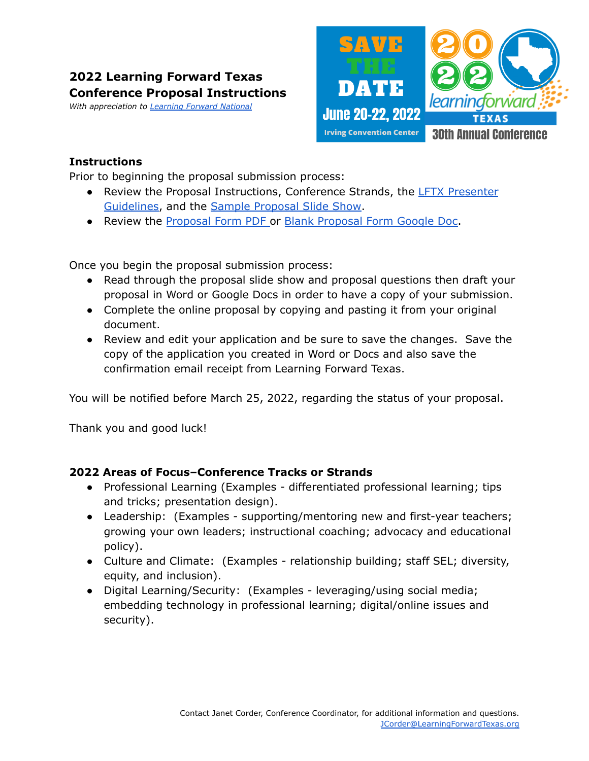# **2022 Learning Forward Texas Conference Proposal Instructions**

*With appreciation to [Learning](https://learningforward.org/) Forward National*



## **Instructions**

Prior to beginning the proposal submission process:

- Review the Proposal Instructions, Conference Strands, the LFTX [Presenter](https://drive.google.com/file/d/12RH3rV5I0NAaHWTJdHwQ3NCQHx8TYktR/view?usp=sharing) [Guidelines](https://drive.google.com/file/d/12RH3rV5I0NAaHWTJdHwQ3NCQHx8TYktR/view?usp=sharing), and the Sample [Proposal](https://docs.google.com/presentation/d/e/2PACX-1vRgKsqCLQwSyQzuj5qo0g0AmBJT2Nnxgvq4q8FIICvB6-HM6OhbU26aYK57QyZIVjchW1fVjxYank2M/pub?start=false&loop=false&delayms=10000&slide=id.p) Slide Show.
- Review the [Proposal](https://854663f8-b32c-41c2-b4d8-ab7f5127ebd1.filesusr.com/ugd/c1519b_b4106262bee943799383364e137c0a61.pdf) Form PDF or Blank [Proposal](https://docs.google.com/document/d/1NOTKGa-2lqTqbZ-otp2dmXtu3kjpSb6A1nUh7rAbaZY/copy) Form Google Doc.

Once you begin the proposal submission process:

- Read through the proposal slide show and proposal questions then draft your proposal in Word or Google Docs in order to have a copy of your submission.
- Complete the online proposal by copying and pasting it from your original document.
- Review and edit your application and be sure to save the changes. Save the copy of the application you created in Word or Docs and also save the confirmation email receipt from Learning Forward Texas.

You will be notified before March 25, 2022, regarding the status of your proposal.

Thank you and good luck!

## **2022 Areas of Focus–Conference Tracks or Strands**

- Professional Learning (Examples differentiated professional learning; tips and tricks; presentation design).
- Leadership: (Examples supporting/mentoring new and first-year teachers; growing your own leaders; instructional coaching; advocacy and educational policy).
- Culture and Climate: (Examples relationship building; staff SEL; diversity, equity, and inclusion).
- Digital Learning/Security: (Examples leveraging/using social media; embedding technology in professional learning; digital/online issues and security).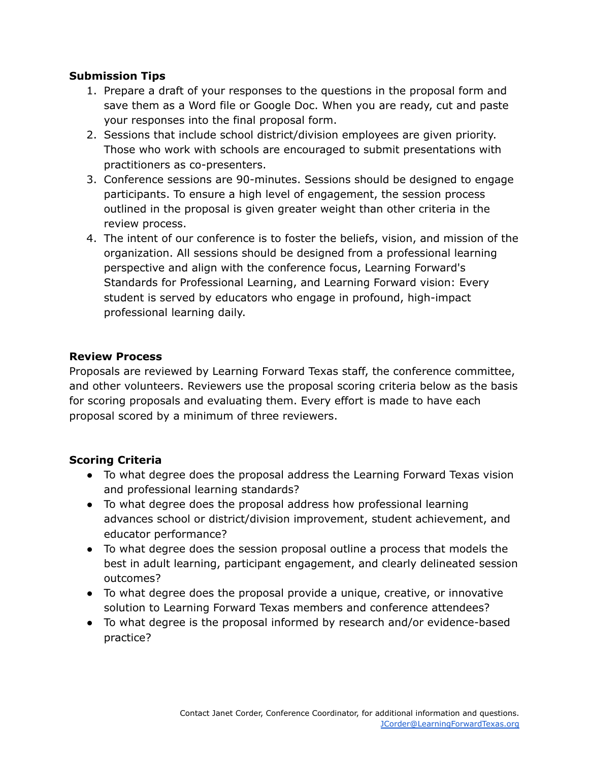## **Submission Tips**

- 1. Prepare a draft of your responses to the questions in the proposal form and save them as a Word file or Google Doc. When you are ready, cut and paste your responses into the final proposal form.
- 2. Sessions that include school district/division employees are given priority. Those who work with schools are encouraged to submit presentations with practitioners as co-presenters.
- 3. Conference sessions are 90-minutes. Sessions should be designed to engage participants. To ensure a high level of engagement, the session process outlined in the proposal is given greater weight than other criteria in the review process.
- 4. The intent of our conference is to foster the beliefs, vision, and mission of the organization. All sessions should be designed from a professional learning perspective and align with the conference focus, Learning Forward's Standards for Professional Learning, and Learning Forward vision: Every student is served by educators who engage in profound, high-impact professional learning daily.

## **Review Process**

Proposals are reviewed by Learning Forward Texas staff, the conference committee, and other volunteers. Reviewers use the proposal scoring criteria below as the basis for scoring proposals and evaluating them. Every effort is made to have each proposal scored by a minimum of three reviewers.

## **Scoring Criteria**

- To what degree does the proposal address the Learning Forward Texas vision and professional learning standards?
- To what degree does the proposal address how professional learning advances school or district/division improvement, student achievement, and educator performance?
- To what degree does the session proposal outline a process that models the best in adult learning, participant engagement, and clearly delineated session outcomes?
- To what degree does the proposal provide a unique, creative, or innovative solution to Learning Forward Texas members and conference attendees?
- To what degree is the proposal informed by research and/or evidence-based practice?